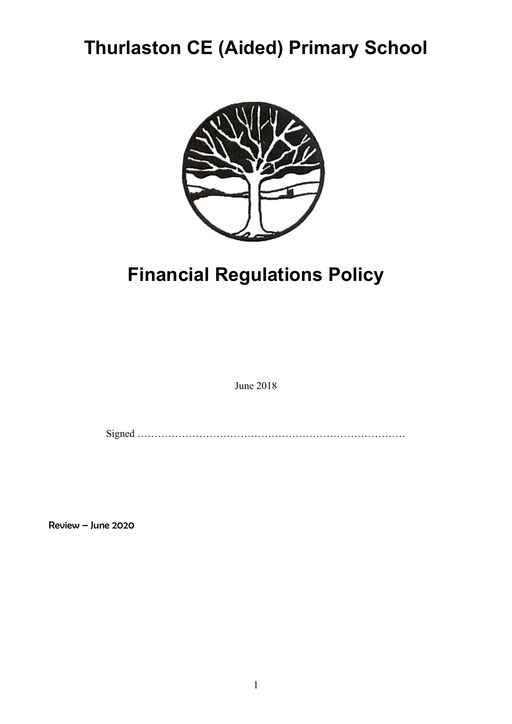# Thurlaston CE (Aided) Primary School



# Financial Regulations Policy

June 2018

Signed ……………………………………………………………………

Review – June 2020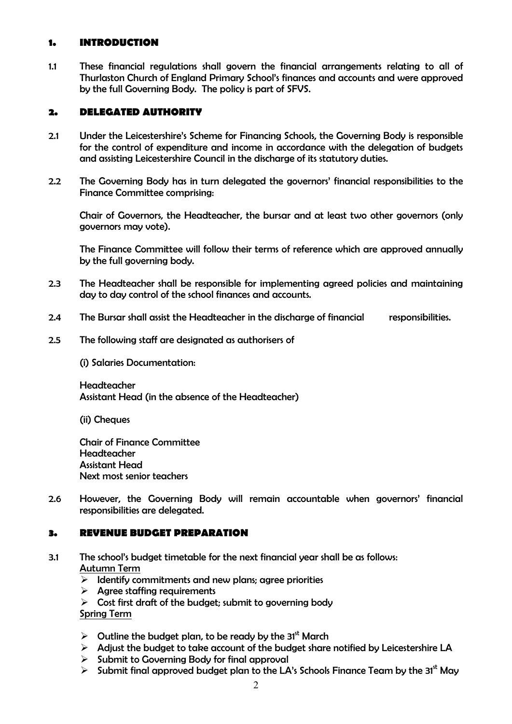## 1. INTRODUCTION

1.1 These financial regulations shall govern the financial arrangements relating to all of Thurlaston Church of England Primary School's finances and accounts and were approved by the full Governing Body. The policy is part of SFVS.

#### 2. DELEGATED AUTHORITY

- 2.1 Under the Leicestershire's Scheme for Financing Schools, the Governing Body is responsible for the control of expenditure and income in accordance with the delegation of budgets and assisting Leicestershire Council in the discharge of its statutory duties.
- 2.2 The Governing Body has in turn delegated the governors' financial responsibilities to the Finance Committee comprising:

Chair of Governors, the Headteacher, the bursar and at least two other governors (only governors may vote).

The Finance Committee will follow their terms of reference which are approved annually by the full governing body.

- 2.3 The Headteacher shall be responsible for implementing agreed policies and maintaining day to day control of the school finances and accounts.
- 2.4 The Bursar shall assist the Headteacher in the discharge of financial responsibilities.
- 2.5 The following staff are designated as authorisers of

(i) Salaries Documentation:

Headteacher Assistant Head (in the absence of the Headteacher)

(ii) Cheques

Chair of Finance Committee Headteacher Assistant Head Next most senior teachers

2.6 However, the Governing Body will remain accountable when governors' financial responsibilities are delegated.

#### 3. REVENUE BUDGET PREPARATION

- 3.1 The school's budget timetable for the next financial year shall be as follows: Autumn Term
	- $\triangleright$  Identify commitments and new plans; agree priorities
	- $\triangleright$  Agree staffing requirements
	- $\triangleright$  Cost first draft of the budget; submit to governing body

Spring Term

- $\triangleright$  Outline the budget plan, to be ready by the 31<sup>st</sup> March
- $\triangleright$  Adjust the budget to take account of the budget share notified by Leicestershire LA
- $\triangleright$  Submit to Governing Body for final approval
- $\triangleright$  Submit final approved budget plan to the LA's Schools Finance Team by the 31st Mav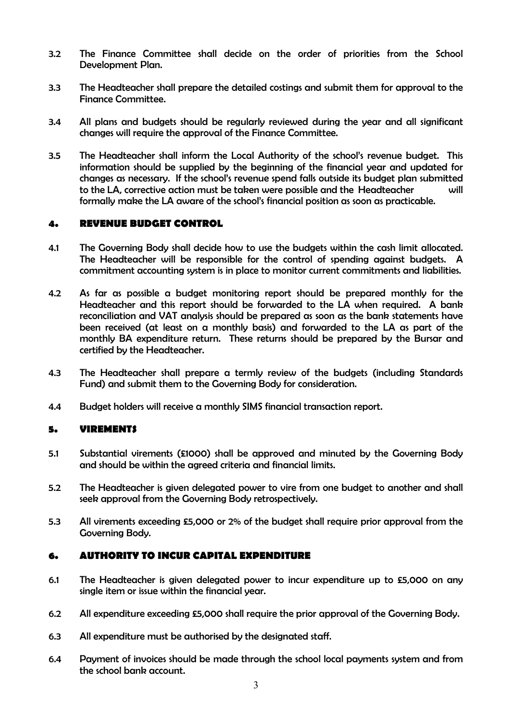- 3.2 The Finance Committee shall decide on the order of priorities from the School Development Plan.
- 3.3 The Headteacher shall prepare the detailed costings and submit them for approval to the Finance Committee.
- 3.4 All plans and budgets should be regularly reviewed during the year and all significant changes will require the approval of the Finance Committee.
- 3.5 The Headteacher shall inform the Local Authority of the school's revenue budget. This information should be supplied by the beginning of the financial year and updated for changes as necessary. If the school's revenue spend falls outside its budget plan submitted to the LA, corrective action must be taken were possible and the Headteacher will formally make the LA aware of the school's financial position as soon as practicable.

## 4. REVENUE BUDGET CONTROL

- 4.1 The Governing Body shall decide how to use the budgets within the cash limit allocated. The Headteacher will be responsible for the control of spending against budgets. A commitment accounting system is in place to monitor current commitments and liabilities.
- 4.2 As far as possible a budget monitoring report should be prepared monthly for the Headteacher and this report should be forwarded to the LA when required. A bank reconciliation and VAT analysis should be prepared as soon as the bank statements have been received (at least on a monthly basis) and forwarded to the LA as part of the monthly BA expenditure return. These returns should be prepared by the Bursar and certified by the Headteacher.
- 4.3 The Headteacher shall prepare a termly review of the budgets (including Standards Fund) and submit them to the Governing Body for consideration.
- 4.4 Budget holders will receive a monthly SIMS financial transaction report.

#### 5. VIREMENTS

- 5.1 Substantial virements (£1000) shall be approved and minuted by the Governing Body and should be within the agreed criteria and financial limits.
- 5.2 The Headteacher is given delegated power to vire from one budget to another and shall seek approval from the Governing Body retrospectively.
- 5.3 All virements exceeding £5,000 or 2% of the budget shall require prior approval from the Governing Body.

## 6. AUTHORITY TO INCUR CAPITAL EXPENDITURE

- 6.1 The Headteacher is given delegated power to incur expenditure up to £5,000 on any single item or issue within the financial year.
- 6.2 All expenditure exceeding £5,000 shall require the prior approval of the Governing Body.
- 6.3 All expenditure must be authorised by the designated staff.
- 6.4 Payment of invoices should be made through the school local payments system and from the school bank account.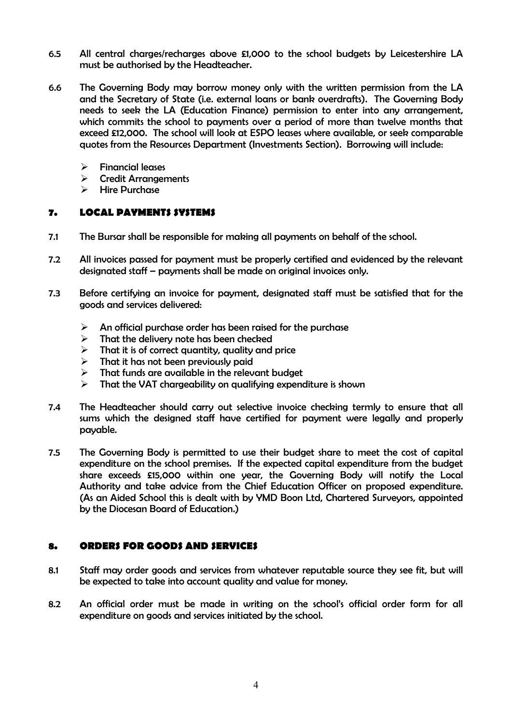- 6.5 All central charges/recharges above £1,000 to the school budgets by Leicestershire LA must be authorised by the Headteacher.
- 6.6 The Governing Body may borrow money only with the written permission from the LA and the Secretary of State (i.e. external loans or bank overdrafts). The Governing Body needs to seek the LA (Education Finance) permission to enter into any arrangement, which commits the school to payments over a period of more than twelve months that exceed £12,000. The school will look at ESPO leases where available, or seek comparable quotes from the Resources Department (Investments Section). Borrowing will include:
	- $\triangleright$  Financial leases
	- Credit Arrangements
	- $\triangleright$  Hire Purchase

#### 7. LOCAL PAYMENTS SYSTEMS

- 7.1 The Bursar shall be responsible for making all payments on behalf of the school.
- 7.2 All invoices passed for payment must be properly certified and evidenced by the relevant designated staff – payments shall be made on original invoices only.
- 7.3 Before certifying an invoice for payment, designated staff must be satisfied that for the goods and services delivered:
	- $\triangleright$  An official purchase order has been raised for the purchase
	- $\triangleright$  That the delivery note has been checked
	- $\triangleright$  That it is of correct quantity, quality and price
	- $\triangleright$  That it has not been previously paid
	- $\triangleright$  That funds are available in the relevant budget
	- $\triangleright$  That the VAT chargeability on qualifying expenditure is shown
- 7.4 The Headteacher should carry out selective invoice checking termly to ensure that all sums which the designed staff have certified for payment were legally and properly payable.
- 7.5 The Governing Body is permitted to use their budget share to meet the cost of capital expenditure on the school premises. If the expected capital expenditure from the budget share exceeds £15,000 within one year, the Governing Body will notify the Local Authority and take advice from the Chief Education Officer on proposed expenditure. (As an Aided School this is dealt with by YMD Boon Ltd, Chartered Surveyors, appointed by the Diocesan Board of Education.)

#### 8. ORDERS FOR GOODS AND SERVICES

- 8.1 Staff may order goods and services from whatever reputable source they see fit, but will be expected to take into account quality and value for money.
- 8.2 An official order must be made in writing on the school's official order form for all expenditure on goods and services initiated by the school.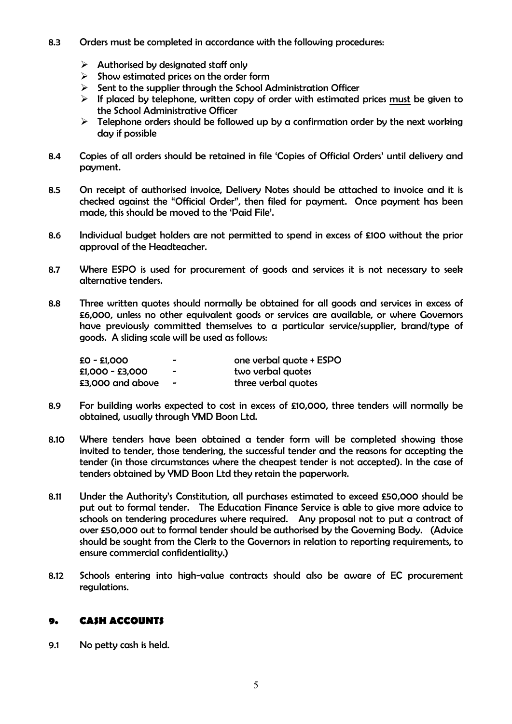- 8.3 Orders must be completed in accordance with the following procedures:
	- $\triangleright$  Authorised by designated staff only
	- $\triangleright$  Show estimated prices on the order form
	- $\triangleright$  Sent to the supplier through the School Administration Officer
	- $\triangleright$  If placed by telephone, written copy of order with estimated prices must be given to the School Administrative Officer
	- $\triangleright$  Telephone orders should be followed up by a confirmation order by the next working day if possible
- 8.4 Copies of all orders should be retained in file 'Copies of Official Orders' until delivery and payment.
- 8.5 On receipt of authorised invoice, Delivery Notes should be attached to invoice and it is checked against the "Official Order", then filed for payment. Once payment has been made, this should be moved to the 'Paid File'.
- 8.6 Individual budget holders are not permitted to spend in excess of £100 without the prior approval of the Headteacher.
- 8.7 Where ESPO is used for procurement of goods and services it is not necessary to seek alternative tenders.
- 8.8 Three written quotes should normally be obtained for all goods and services in excess of £6,000, unless no other equivalent goods or services are available, or where Governors have previously committed themselves to a particular service/supplier, brand/type of goods. A sliding scale will be used as follows:

| £0 - £1,000      | $\overline{\phantom{0}}$ | one verbal quote + ESPO |
|------------------|--------------------------|-------------------------|
| £1,000 - £3,000  | -                        | two verbal quotes       |
| £3,000 and above | $\qquad \qquad$          | three verbal quotes     |

- 8.9 For building works expected to cost in excess of £10,000, three tenders will normally be obtained, usually through YMD Boon Ltd.
- 8.10 Where tenders have been obtained a tender form will be completed showing those invited to tender, those tendering, the successful tender and the reasons for accepting the tender (in those circumstances where the cheapest tender is not accepted). In the case of tenders obtained by YMD Boon Ltd they retain the paperwork.
- 8.11 Under the Authority's Constitution, all purchases estimated to exceed £50,000 should be put out to formal tender. The Education Finance Service is able to give more advice to schools on tendering procedures where required. Any proposal not to put a contract of over £50,000 out to formal tender should be authorised by the Governing Body. (Advice should be sought from the Clerk to the Governors in relation to reporting requirements, to ensure commercial confidentiality.)
- 8.12 Schools entering into high-value contracts should also be aware of EC procurement regulations.

## 9. CASH ACCOUNTS

9.1 No petty cash is held.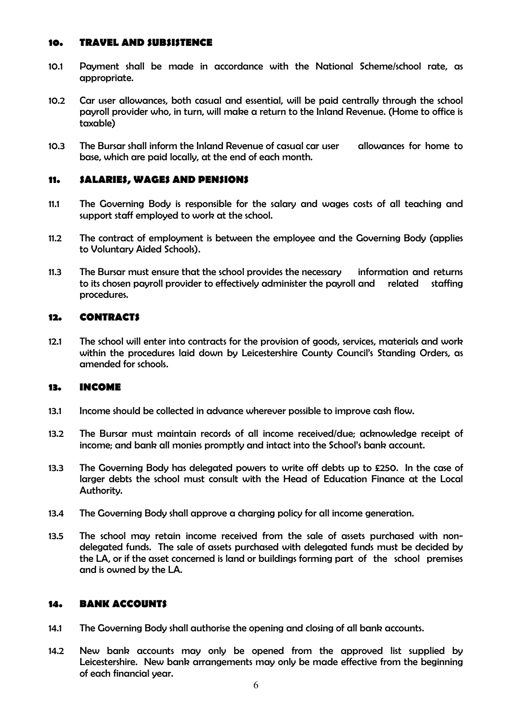#### 10. TRAVEL AND SUBSISTENCE

- 10.1 Payment shall be made in accordance with the National Scheme/school rate, as appropriate.
- 10.2 Car user allowances, both casual and essential, will be paid centrally through the school payroll provider who, in turn, will make a return to the Inland Revenue. (Home to office is taxable)
- 10.3 The Bursar shall inform the Inland Revenue of casual car user allowances for home to base, which are paid locally, at the end of each month.

#### 11. SALARIES, WAGES AND PENSIONS

- 11.1 The Governing Body is responsible for the salary and wages costs of all teaching and support staff employed to work at the school.
- 11.2 The contract of employment is between the employee and the Governing Body (applies to Voluntary Aided Schools).
- 11.3 The Bursar must ensure that the school provides the necessary information and returns to its chosen payroll provider to effectively administer the payroll and related staffing procedures.

#### 12. CONTRACTS

12.1 The school will enter into contracts for the provision of goods, services, materials and work within the procedures laid down by Leicestershire County Council's Standing Orders, as amended for schools.

#### 13. INCOME

- 13.1 Income should be collected in advance wherever possible to improve cash flow.
- 13.2 The Bursar must maintain records of all income received/due; acknowledge receipt of income; and bank all monies promptly and intact into the School's bank account.
- 13.3 The Governing Body has delegated powers to write off debts up to £250. In the case of larger debts the school must consult with the Head of Education Finance at the Local Authority.
- 13.4 The Governing Body shall approve a charging policy for all income generation.
- 13.5 The school may retain income received from the sale of assets purchased with nondelegated funds. The sale of assets purchased with delegated funds must be decided by the LA, or if the asset concerned is land or buildings forming part of the school premises and is owned by the LA.

#### 14. BANK ACCOUNTS

- 14.1 The Governing Body shall authorise the opening and closing of all bank accounts.
- 14.2 New bank accounts may only be opened from the approved list supplied by Leicestershire. New bank arrangements may only be made effective from the beginning of each financial year.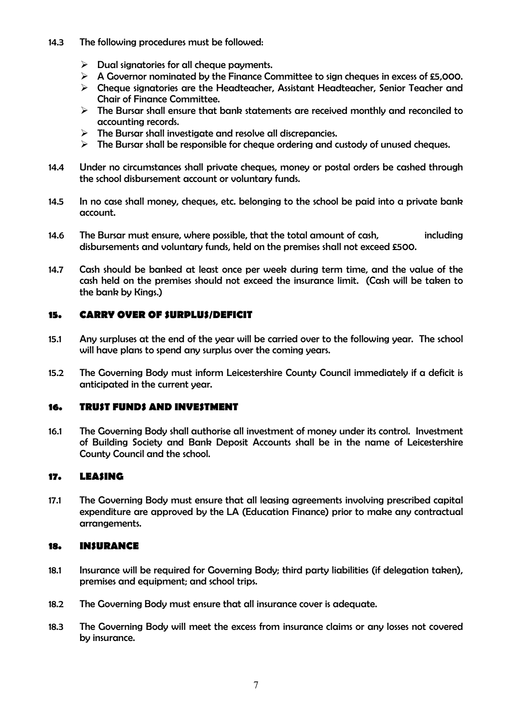- 14.3 The following procedures must be followed:
	- $\triangleright$  Dual signatories for all cheque payments.
	- $\triangleright$  A Governor nominated by the Finance Committee to sign cheques in excess of £5,000.
	- $\triangleright$  Cheque signatories are the Headteacher, Assistant Headteacher, Senior Teacher and Chair of Finance Committee.
	- $\triangleright$  The Bursar shall ensure that bank statements are received monthly and reconciled to accounting records.
	- $\triangleright$  The Bursar shall investigate and resolve all discrepancies.
	- $\triangleright$  The Bursar shall be responsible for cheque ordering and custody of unused cheques.
- 14.4 Under no circumstances shall private cheques, money or postal orders be cashed through the school disbursement account or voluntary funds.
- 14.5 In no case shall money, cheques, etc. belonging to the school be paid into a private bank account.
- 14.6 The Bursar must ensure, where possible, that the total amount of cash, including disbursements and voluntary funds, held on the premises shall not exceed £500.
- 14.7 Cash should be banked at least once per week during term time, and the value of the cash held on the premises should not exceed the insurance limit. (Cash will be taken to the bank by Kings.)

## 15. CARRY OVER OF SURPLUS/DEFICIT

- 15.1 Any surpluses at the end of the year will be carried over to the following year. The school will have plans to spend any surplus over the coming years.
- 15.2 The Governing Body must inform Leicestershire County Council immediately if a deficit is anticipated in the current year.

## 16. TRUST FUNDS AND INVESTMENT

16.1 The Governing Body shall authorise all investment of money under its control. Investment of Building Society and Bank Deposit Accounts shall be in the name of Leicestershire County Council and the school.

## 17. LEASING

17.1 The Governing Body must ensure that all leasing agreements involving prescribed capital expenditure are approved by the LA (Education Finance) prior to make any contractual arrangements.

#### 18. INSURANCE

- 18.1 Insurance will be required for Governing Body; third party liabilities (if delegation taken), premises and equipment; and school trips.
- 18.2 The Governing Body must ensure that all insurance cover is adequate.
- 18.3 The Governing Body will meet the excess from insurance claims or any losses not covered by insurance.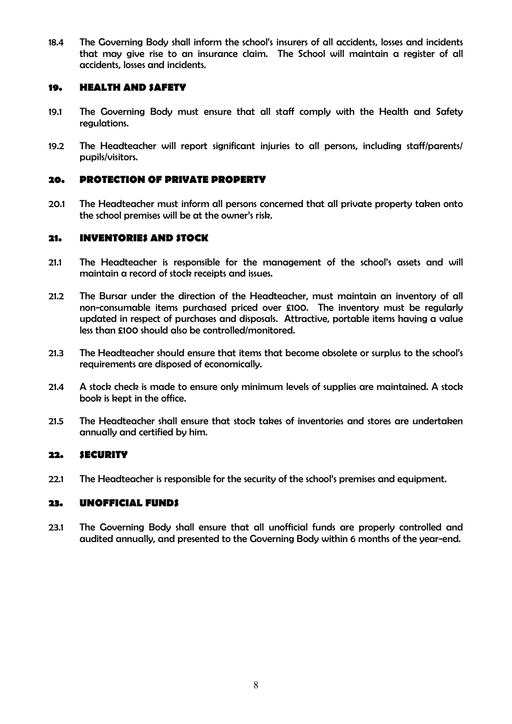18.4 The Governing Body shall inform the school's insurers of all accidents, losses and incidents that may give rise to an insurance claim. The School will maintain a register of all accidents, losses and incidents.

#### 19. HEALTH AND SAFETY

- 19.1 The Governing Body must ensure that all staff comply with the Health and Safety regulations.
- 19.2 The Headteacher will report significant injuries to all persons, including staff/parents/ pupils/visitors.

## 20. PROTECTION OF PRIVATE PROPERTY

20.1 The Headteacher must inform all persons concerned that all private property taken onto the school premises will be at the owner's risk.

#### 21. INVENTORIES AND STOCK

- 21.1 The Headteacher is responsible for the management of the school's assets and will maintain a record of stock receipts and issues.
- 21.2 The Bursar under the direction of the Headteacher, must maintain an inventory of all non-consumable items purchased priced over £100. The inventory must be regularly updated in respect of purchases and disposals. Attractive, portable items having a value less than £100 should also be controlled/monitored.
- 21.3 The Headteacher should ensure that items that become obsolete or surplus to the school's requirements are disposed of economically.
- 21.4 A stock check is made to ensure only minimum levels of supplies are maintained. A stock book is kept in the office.
- 21.5 The Headteacher shall ensure that stock takes of inventories and stores are undertaken annually and certified by him.

#### 22. SECURITY

22.1 The Headteacher is responsible for the security of the school's premises and equipment.

## 23. UNOFFICIAL FUNDS

23.1 The Governing Body shall ensure that all unofficial funds are properly controlled and audited annually, and presented to the Governing Body within 6 months of the year-end.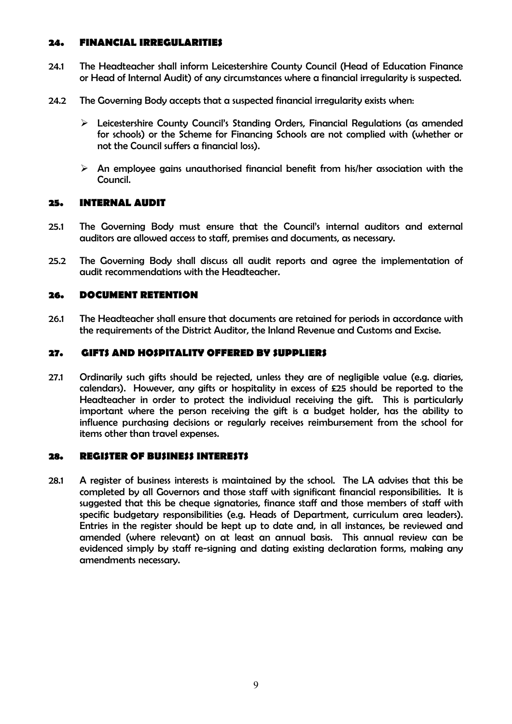#### 24. FINANCIAL IRREGULARITIES

- 24.1 The Headteacher shall inform Leicestershire County Council (Head of Education Finance or Head of Internal Audit) of any circumstances where a financial irregularity is suspected.
- 24.2 The Governing Body accepts that a suspected financial irregularity exists when:
	- Leicestershire County Council's Standing Orders, Financial Regulations (as amended for schools) or the Scheme for Financing Schools are not complied with (whether or not the Council suffers a financial loss).
	- $\triangleright$  An employee gains unauthorised financial benefit from his/her association with the Council.

## 25. INTERNAL AUDIT

- 25.1 The Governing Body must ensure that the Council's internal auditors and external auditors are allowed access to staff, premises and documents, as necessary.
- 25.2 The Governing Body shall discuss all audit reports and agree the implementation of audit recommendations with the Headteacher.

## 26. DOCUMENT RETENTION

26.1 The Headteacher shall ensure that documents are retained for periods in accordance with the requirements of the District Auditor, the Inland Revenue and Customs and Excise.

#### 27. GIFTS AND HOSPITALITY OFFERED BY SUPPLIERS

27.1 Ordinarily such gifts should be rejected, unless they are of negligible value (e.g. diaries, calendars). However, any gifts or hospitality in excess of £25 should be reported to the Headteacher in order to protect the individual receiving the gift. This is particularly important where the person receiving the gift is a budget holder, has the ability to influence purchasing decisions or regularly receives reimbursement from the school for items other than travel expenses.

#### 28. REGISTER OF BUSINESS INTERESTS

28.1 A register of business interests is maintained by the school. The LA advises that this be completed by all Governors and those staff with significant financial responsibilities. It is suggested that this be cheque signatories, finance staff and those members of staff with specific budgetary responsibilities (e.g. Heads of Department, curriculum area leaders). Entries in the register should be kept up to date and, in all instances, be reviewed and amended (where relevant) on at least an annual basis. This annual review can be evidenced simply by staff re-signing and dating existing declaration forms, making any amendments necessary.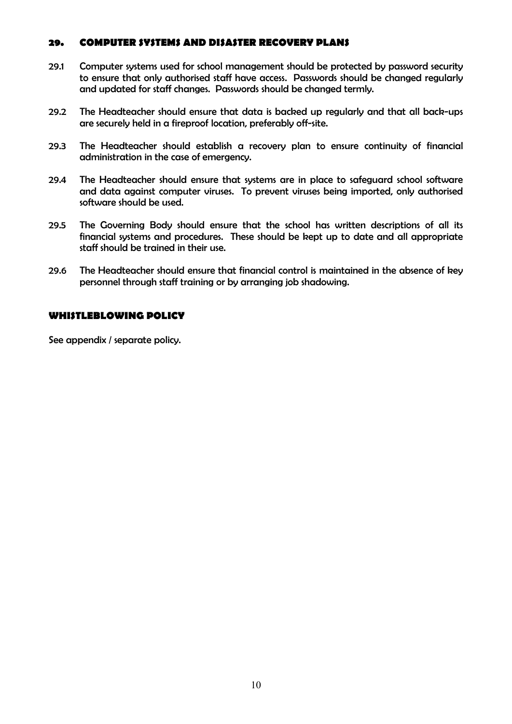#### 29. COMPUTER SYSTEMS AND DISASTER RECOVERY PLANS

- 29.1 Computer systems used for school management should be protected by password security to ensure that only authorised staff have access. Passwords should be changed regularly and updated for staff changes. Passwords should be changed termly.
- 29.2 The Headteacher should ensure that data is backed up regularly and that all back-ups are securely held in a fireproof location, preferably off-site.
- 29.3 The Headteacher should establish a recovery plan to ensure continuity of financial administration in the case of emergency.
- 29.4 The Headteacher should ensure that systems are in place to safeguard school software and data against computer viruses. To prevent viruses being imported, only authorised software should be used.
- 29.5 The Governing Body should ensure that the school has written descriptions of all its financial systems and procedures. These should be kept up to date and all appropriate staff should be trained in their use.
- 29.6 The Headteacher should ensure that financial control is maintained in the absence of key personnel through staff training or by arranging job shadowing.

#### WHISTLEBLOWING POLICY

See appendix / separate policy.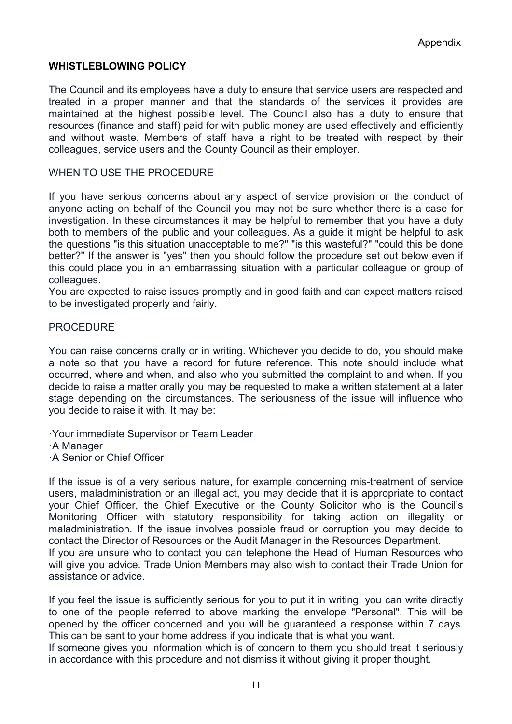## WHISTLEBLOWING POLICY

The Council and its employees have a duty to ensure that service users are respected and treated in a proper manner and that the standards of the services it provides are maintained at the highest possible level. The Council also has a duty to ensure that resources (finance and staff) paid for with public money are used effectively and efficiently and without waste. Members of staff have a right to be treated with respect by their colleagues, service users and the County Council as their employer.

## WHEN TO USE THE PROCEDURE

If you have serious concerns about any aspect of service provision or the conduct of anyone acting on behalf of the Council you may not be sure whether there is a case for investigation. In these circumstances it may be helpful to remember that you have a duty both to members of the public and your colleagues. As a guide it might be helpful to ask the questions "is this situation unacceptable to me?" "is this wasteful?" "could this be done better?" If the answer is "yes" then you should follow the procedure set out below even if this could place you in an embarrassing situation with a particular colleague or group of colleagues.

You are expected to raise issues promptly and in good faith and can expect matters raised to be investigated properly and fairly.

#### **PROCEDURE**

You can raise concerns orally or in writing. Whichever you decide to do, you should make a note so that you have a record for future reference. This note should include what occurred, where and when, and also who you submitted the complaint to and when. If you decide to raise a matter orally you may be requested to make a written statement at a later stage depending on the circumstances. The seriousness of the issue will influence who you decide to raise it with. It may be:

·Your immediate Supervisor or Team Leader ·A Manager

·A Senior or Chief Officer

If the issue is of a very serious nature, for example concerning mis-treatment of service users, maladministration or an illegal act, you may decide that it is appropriate to contact your Chief Officer, the Chief Executive or the County Solicitor who is the Council's Monitoring Officer with statutory responsibility for taking action on illegality or maladministration. If the issue involves possible fraud or corruption you may decide to contact the Director of Resources or the Audit Manager in the Resources Department.

If you are unsure who to contact you can telephone the Head of Human Resources who will give you advice. Trade Union Members may also wish to contact their Trade Union for assistance or advice.

If you feel the issue is sufficiently serious for you to put it in writing, you can write directly to one of the people referred to above marking the envelope "Personal". This will be opened by the officer concerned and you will be guaranteed a response within 7 days. This can be sent to your home address if you indicate that is what you want.

If someone gives you information which is of concern to them you should treat it seriously in accordance with this procedure and not dismiss it without giving it proper thought.